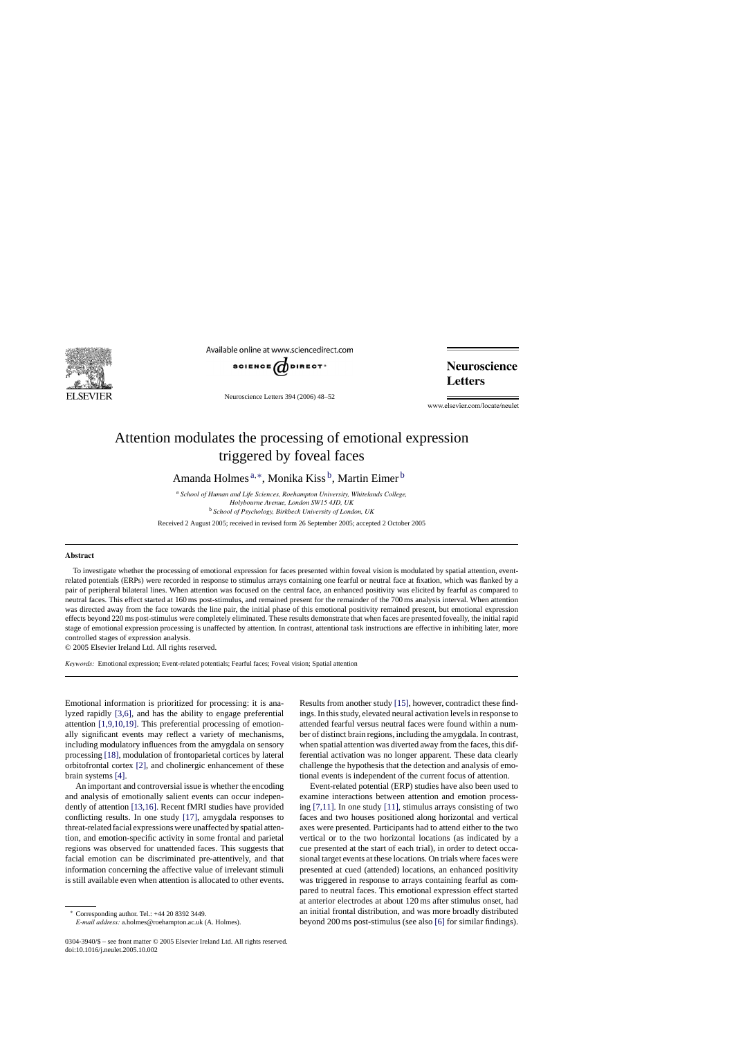

Available online at www.sciencedirect.com



Neuroscience Letters 394 (2006) 48–52

**Neuroscience Letters** 

www.elsevier.com/locate/neulet

## Attention modulates the processing of emotional expression triggered by foveal faces

Amanda Holmes<sup>a,\*</sup>, Monika Kiss<sup>b</sup>, Martin Eimer<sup>b</sup>

<sup>a</sup> *School of Human and Life Sciences, Roehampton University, Whitelands College, Holybourne Avenue, London SW15 4JD, UK* <sup>b</sup> *School of Psychology, Birkbeck University of London, UK*

Received 2 August 2005; received in revised form 26 September 2005; accepted 2 October 2005

## **Abstract**

To investigate whether the processing of emotional expression for faces presented within foveal vision is modulated by spatial attention, eventrelated potentials (ERPs) were recorded in response to stimulus arrays containing one fearful or neutral face at fixation, which was flanked by a pair of peripheral bilateral lines. When attention was focused on the central face, an enhanced positivity was elicited by fearful as compared to neutral faces. This effect started at 160 ms post-stimulus, and remained present for the remainder of the 700 ms analysis interval. When attention was directed away from the face towards the line pair, the initial phase of this emotional positivity remained present, but emotional expression effects beyond 220 ms post-stimulus were completely eliminated. These results demonstrate that when faces are presented foveally, the initial rapid stage of emotional expression processing is unaffected by attention. In contrast, attentional task instructions are effective in inhibiting later, more controlled stages of expression analysis.

© 2005 Elsevier Ireland Ltd. All rights reserved.

*Keywords:* Emotional expression; Event-related potentials; Fearful faces; Foveal vision; Spatial attention

Emotional information is prioritized for processing: it is analyzed rapidly [\[3,6\],](#page-4-0) and has the ability to engage preferential attention [\[1,9,10,19\].](#page-4-0) This preferential processing of emotionally significant events may reflect a variety of mechanisms, including modulatory influences from the amygdala on sensory processing [\[18\], m](#page-4-0)odulation of frontoparietal cortices by lateral orbitofrontal cortex [\[2\],](#page-4-0) and cholinergic enhancement of these brain systems [\[4\].](#page-4-0)

An important and controversial issue is whether the encoding and analysis of emotionally salient events can occur independently of attention [\[13,16\]. R](#page-4-0)ecent fMRI studies have provided conflicting results. In one study [\[17\],](#page-4-0) amygdala responses to threat-related facial expressions were unaffected by spatial attention, and emotion-specific activity in some frontal and parietal regions was observed for unattended faces. This suggests that facial emotion can be discriminated pre-attentively, and that information concerning the affective value of irrelevant stimuli is still available even when attention is allocated to other events.

∗ Corresponding author. Tel.: +44 20 8392 3449.

*E-mail address:* a.holmes@roehampton.ac.uk (A. Holmes).

Results from another study [\[15\], h](#page-4-0)owever, contradict these findings. In this study, elevated neural activation levels in response to attended fearful versus neutral faces were found within a number of distinct brain regions, including the amygdala. In contrast, when spatial attention was diverted away from the faces, this differential activation was no longer apparent. These data clearly challenge the hypothesis that the detection and analysis of emotional events is independent of the current focus of attention.

Event-related potential (ERP) studies have also been used to examine interactions between attention and emotion processing [\[7,11\].](#page-4-0) In one study [\[11\],](#page-4-0) stimulus arrays consisting of two faces and two houses positioned along horizontal and vertical axes were presented. Participants had to attend either to the two vertical or to the two horizontal locations (as indicated by a cue presented at the start of each trial), in order to detect occasional target events at these locations. On trials where faces were presented at cued (attended) locations, an enhanced positivity was triggered in response to arrays containing fearful as compared to neutral faces. This emotional expression effect started at anterior electrodes at about 120 ms after stimulus onset, had an initial frontal distribution, and was more broadly distributed beyond 200 ms post-stimulus (see also [\[6\]](#page-4-0) for similar findings).

<sup>0304-3940/\$ –</sup> see front matter © 2005 Elsevier Ireland Ltd. All rights reserved. doi:10.1016/j.neulet.2005.10.002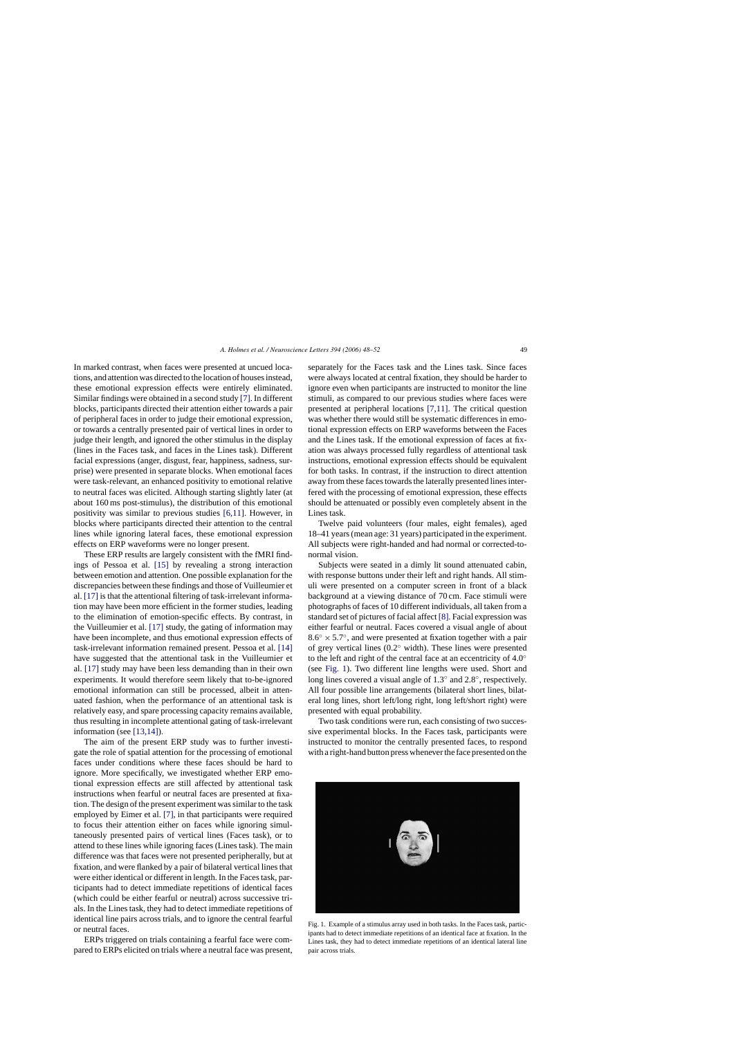In marked contrast, when faces were presented at uncued locations, and attention was directed to the location of houses instead, these emotional expression effects were entirely eliminated. Similar findings were obtained in a second study [\[7\]. I](#page-4-0)n different blocks, participants directed their attention either towards a pair of peripheral faces in order to judge their emotional expression, or towards a centrally presented pair of vertical lines in order to judge their length, and ignored the other stimulus in the display (lines in the Faces task, and faces in the Lines task). Different facial expressions (anger, disgust, fear, happiness, sadness, surprise) were presented in separate blocks. When emotional faces were task-relevant, an enhanced positivity to emotional relative to neutral faces was elicited. Although starting slightly later (at about 160 ms post-stimulus), the distribution of this emotional positivity was similar to previous studies [\[6,11\].](#page-4-0) However, in blocks where participants directed their attention to the central lines while ignoring lateral faces, these emotional expression effects on ERP waveforms were no longer present.

These ERP results are largely consistent with the fMRI findings of Pessoa et al. [\[15\]](#page-4-0) by revealing a strong interaction between emotion and attention. One possible explanation for the discrepancies between these findings and those of Vuilleumier et al. [\[17\]](#page-4-0) is that the attentional filtering of task-irrelevant information may have been more efficient in the former studies, leading to the elimination of emotion-specific effects. By contrast, in the Vuilleumier et al. [\[17\]](#page-4-0) study, the gating of information may have been incomplete, and thus emotional expression effects of task-irrelevant information remained present. Pessoa et al. [\[14\]](#page-4-0) have suggested that the attentional task in the Vuilleumier et al. [\[17\]](#page-4-0) study may have been less demanding than in their own experiments. It would therefore seem likely that to-be-ignored emotional information can still be processed, albeit in attenuated fashion, when the performance of an attentional task is relatively easy, and spare processing capacity remains available, thus resulting in incomplete attentional gating of task-irrelevant information (see [\[13,14\]\).](#page-4-0)

The aim of the present ERP study was to further investigate the role of spatial attention for the processing of emotional faces under conditions where these faces should be hard to ignore. More specifically, we investigated whether ERP emotional expression effects are still affected by attentional task instructions when fearful or neutral faces are presented at fixation. The design of the present experiment was similar to the task employed by Eimer et al. [\[7\],](#page-4-0) in that participants were required to focus their attention either on faces while ignoring simultaneously presented pairs of vertical lines (Faces task), or to attend to these lines while ignoring faces (Lines task). The main difference was that faces were not presented peripherally, but at fixation, and were flanked by a pair of bilateral vertical lines that were either identical or different in length. In the Faces task, participants had to detect immediate repetitions of identical faces (which could be either fearful or neutral) across successive trials. In the Lines task, they had to detect immediate repetitions of identical line pairs across trials, and to ignore the central fearful or neutral faces.

ERPs triggered on trials containing a fearful face were compared to ERPs elicited on trials where a neutral face was present, separately for the Faces task and the Lines task. Since faces were always located at central fixation, they should be harder to ignore even when participants are instructed to monitor the line stimuli, as compared to our previous studies where faces were presented at peripheral locations [\[7,11\].](#page-4-0) The critical question was whether there would still be systematic differences in emotional expression effects on ERP waveforms between the Faces and the Lines task. If the emotional expression of faces at fixation was always processed fully regardless of attentional task instructions, emotional expression effects should be equivalent for both tasks. In contrast, if the instruction to direct attention away from these faces towards the laterally presented lines interfered with the processing of emotional expression, these effects should be attenuated or possibly even completely absent in the Lines task.

Twelve paid volunteers (four males, eight females), aged 18–41 years (mean age: 31 years) participated in the experiment. All subjects were right-handed and had normal or corrected-tonormal vision.

Subjects were seated in a dimly lit sound attenuated cabin, with response buttons under their left and right hands. All stimuli were presented on a computer screen in front of a black background at a viewing distance of 70 cm. Face stimuli were photographs of faces of 10 different individuals, all taken from a standard set of pictures of facial affect [\[8\]. F](#page-4-0)acial expression was either fearful or neutral. Faces covered a visual angle of about  $8.6° \times 5.7°$ , and were presented at fixation together with a pair of grey vertical lines (0.2◦ width). These lines were presented to the left and right of the central face at an eccentricity of 4.0◦ (see Fig. 1). Two different line lengths were used. Short and long lines covered a visual angle of 1.3◦ and 2.8◦, respectively. All four possible line arrangements (bilateral short lines, bilateral long lines, short left/long right, long left/short right) were presented with equal probability.

Two task conditions were run, each consisting of two successive experimental blocks. In the Faces task, participants were instructed to monitor the centrally presented faces, to respond with a right-hand button press whenever the face presented on the



Fig. 1. Example of a stimulus array used in both tasks. In the Faces task, participants had to detect immediate repetitions of an identical face at fixation. In the Lines task, they had to detect immediate repetitions of an identical lateral line pair across trials.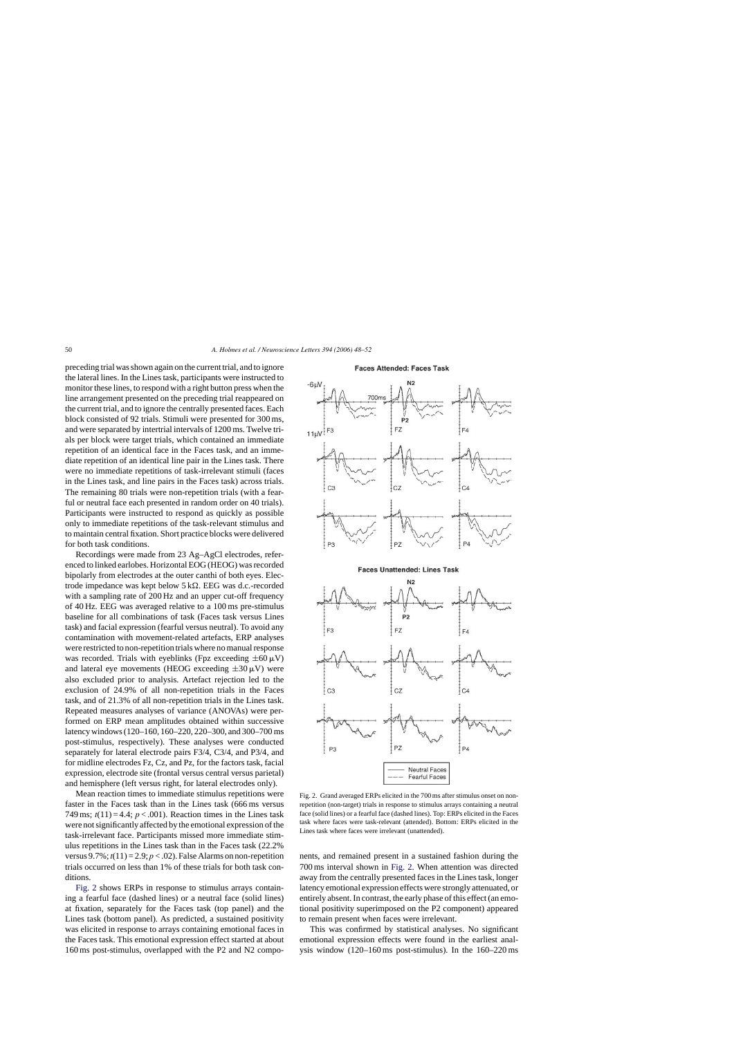<span id="page-2-0"></span>preceding trial was shown again on the current trial, and to ignore the lateral lines. In the Lines task, participants were instructed to monitor these lines, to respond with a right button press when the line arrangement presented on the preceding trial reappeared on the current trial, and to ignore the centrally presented faces. Each block consisted of 92 trials. Stimuli were presented for 300 ms, and were separated by intertrial intervals of 1200 ms. Twelve trials per block were target trials, which contained an immediate repetition of an identical face in the Faces task, and an immediate repetition of an identical line pair in the Lines task. There were no immediate repetitions of task-irrelevant stimuli (faces in the Lines task, and line pairs in the Faces task) across trials. The remaining 80 trials were non-repetition trials (with a fearful or neutral face each presented in random order on 40 trials). Participants were instructed to respond as quickly as possible only to immediate repetitions of the task-relevant stimulus and to maintain central fixation. Short practice blocks were delivered for both task conditions.

Recordings were made from 23 Ag–AgCl electrodes, referenced to linked earlobes. Horizontal EOG (HEOG) was recorded bipolarly from electrodes at the outer canthi of both eyes. Electrode impedance was kept below  $5 \text{ k}\Omega$ . EEG was d.c.-recorded with a sampling rate of 200 Hz and an upper cut-off frequency of 40 Hz. EEG was averaged relative to a 100 ms pre-stimulus baseline for all combinations of task (Faces task versus Lines task) and facial expression (fearful versus neutral). To avoid any contamination with movement-related artefacts, ERP analyses were restricted to non-repetition trials where no manual response was recorded. Trials with eyeblinks (Fpz exceeding  $\pm 60 \,\mu\text{V}$ ) and lateral eye movements (HEOG exceeding  $\pm 30 \,\mu$ V) were also excluded prior to analysis. Artefact rejection led to the exclusion of 24.9% of all non-repetition trials in the Faces task, and of 21.3% of all non-repetition trials in the Lines task. Repeated measures analyses of variance (ANOVAs) were performed on ERP mean amplitudes obtained within successive latency windows (120–160, 160–220, 220–300, and 300–700 ms post-stimulus, respectively). These analyses were conducted separately for lateral electrode pairs F3/4, C3/4, and P3/4, and for midline electrodes Fz, Cz, and Pz, for the factors task, facial expression, electrode site (frontal versus central versus parietal) and hemisphere (left versus right, for lateral electrodes only).

Mean reaction times to immediate stimulus repetitions were faster in the Faces task than in the Lines task (666 ms versus 749 ms;  $t(11) = 4.4$ ;  $p < .001$ ). Reaction times in the Lines task were not significantly affected by the emotional expression of the task-irrelevant face. Participants missed more immediate stimulus repetitions in the Lines task than in the Faces task (22.2% versus  $9.7\%$ ;  $t(11) = 2.9$ ;  $p < .02$ ). False Alarms on non-repetition trials occurred on less than 1% of these trials for both task conditions.

Fig. 2 shows ERPs in response to stimulus arrays containing a fearful face (dashed lines) or a neutral face (solid lines) at fixation, separately for the Faces task (top panel) and the Lines task (bottom panel). As predicted, a sustained positivity was elicited in response to arrays containing emotional faces in the Faces task. This emotional expression effect started at about 160 ms post-stimulus, overlapped with the P2 and N2 compo-





Fig. 2. Grand averaged ERPs elicited in the 700 ms after stimulus onset on nonrepetition (non-target) trials in response to stimulus arrays containing a neutral face (solid lines) or a fearful face (dashed lines). Top: ERPs elicited in the Faces task where faces were task-relevant (attended). Bottom: ERPs elicited in the Lines task where faces were irrelevant (unattended).

nents, and remained present in a sustained fashion during the 700 ms interval shown in Fig. 2. When attention was directed away from the centrally presented faces in the Lines task, longer latency emotional expression effects were strongly attenuated, or entirely absent. In contrast, the early phase of this effect (an emotional positivity superimposed on the P2 component) appeared to remain present when faces were irrelevant.

This was confirmed by statistical analyses. No significant emotional expression effects were found in the earliest analysis window (120–160 ms post-stimulus). In the 160–220 ms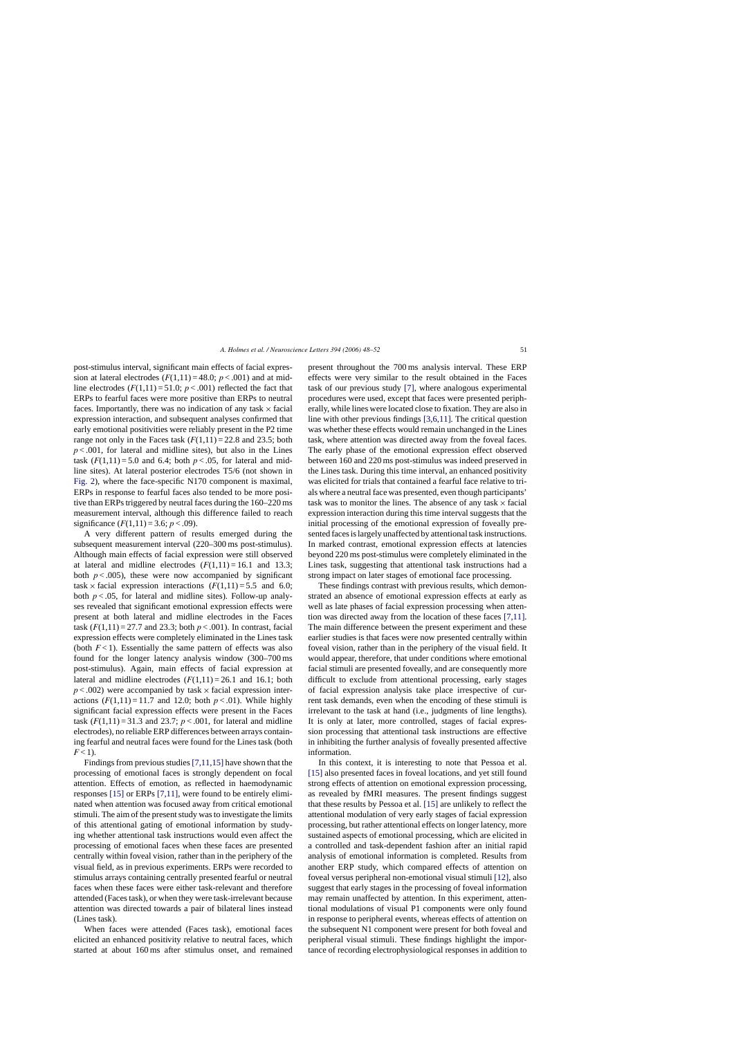post-stimulus interval, significant main effects of facial expression at lateral electrodes  $(F(1,11) = 48.0; p < .001)$  and at midline electrodes  $(F(1,11) = 51.0; p < .001)$  reflected the fact that ERPs to fearful faces were more positive than ERPs to neutral faces. Importantly, there was no indication of any task  $\times$  facial expression interaction, and subsequent analyses confirmed that early emotional positivities were reliably present in the P2 time range not only in the Faces task  $(F(1,11) = 22.8$  and 23.5; both  $p < .001$ , for lateral and midline sites), but also in the Lines task  $(F(1,11)=5.0$  and 6.4; both  $p < .05$ , for lateral and midline sites). At lateral posterior electrodes T5/6 (not shown in [Fig. 2\),](#page-2-0) where the face-specific N170 component is maximal, ERPs in response to fearful faces also tended to be more positive than ERPs triggered by neutral faces during the 160–220 ms measurement interval, although this difference failed to reach significance  $(F(1,11) = 3.6; p < .09)$ .

A very different pattern of results emerged during the subsequent measurement interval (220–300 ms post-stimulus). Although main effects of facial expression were still observed at lateral and midline electrodes  $(F(1,11) = 16.1$  and 13.3; both  $p < .005$ ), these were now accompanied by significant task  $\times$  facial expression interactions ( $F(1,11) = 5.5$  and 6.0; both  $p < .05$ , for lateral and midline sites). Follow-up analyses revealed that significant emotional expression effects were present at both lateral and midline electrodes in the Faces task  $(F(1,11) = 27.7$  and 23.3; both  $p < .001$ ). In contrast, facial expression effects were completely eliminated in the Lines task (both  $F < 1$ ). Essentially the same pattern of effects was also found for the longer latency analysis window (300–700 ms post-stimulus). Again, main effects of facial expression at lateral and midline electrodes  $(F(1,11) = 26.1$  and 16.1; both  $p < .002$ ) were accompanied by task  $\times$  facial expression interactions  $(F(1,11)=11.7$  and 12.0; both  $p < .01$ ). While highly significant facial expression effects were present in the Faces task  $(F(1,11) = 31.3$  and 23.7;  $p < .001$ , for lateral and midline electrodes), no reliable ERP differences between arrays containing fearful and neutral faces were found for the Lines task (both  $F < 1$ ).

Findings from previous studies[\[7,11,15\]](#page-4-0) have shown that the processing of emotional faces is strongly dependent on focal attention. Effects of emotion, as reflected in haemodynamic responses [\[15\]](#page-4-0) or ERPs [\[7,11\],](#page-4-0) were found to be entirely eliminated when attention was focused away from critical emotional stimuli. The aim of the present study was to investigate the limits of this attentional gating of emotional information by studying whether attentional task instructions would even affect the processing of emotional faces when these faces are presented centrally within foveal vision, rather than in the periphery of the visual field, as in previous experiments. ERPs were recorded to stimulus arrays containing centrally presented fearful or neutral faces when these faces were either task-relevant and therefore attended (Faces task), or when they were task-irrelevant because attention was directed towards a pair of bilateral lines instead (Lines task).

When faces were attended (Faces task), emotional faces elicited an enhanced positivity relative to neutral faces, which started at about 160 ms after stimulus onset, and remained present throughout the 700 ms analysis interval. These ERP effects were very similar to the result obtained in the Faces task of our previous study [\[7\],](#page-4-0) where analogous experimental procedures were used, except that faces were presented peripherally, while lines were located close to fixation. They are also in line with other previous findings [\[3,6,11\].](#page-4-0) The critical question was whether these effects would remain unchanged in the Lines task, where attention was directed away from the foveal faces. The early phase of the emotional expression effect observed between 160 and 220 ms post-stimulus was indeed preserved in the Lines task. During this time interval, an enhanced positivity was elicited for trials that contained a fearful face relative to trials where a neutral face was presented, even though participants' task was to monitor the lines. The absence of any task  $\times$  facial expression interaction during this time interval suggests that the initial processing of the emotional expression of foveally presented faces is largely unaffected by attentional task instructions. In marked contrast, emotional expression effects at latencies beyond 220 ms post-stimulus were completely eliminated in the Lines task, suggesting that attentional task instructions had a strong impact on later stages of emotional face processing.

These findings contrast with previous results, which demonstrated an absence of emotional expression effects at early as well as late phases of facial expression processing when attention was directed away from the location of these faces [\[7,11\].](#page-4-0) The main difference between the present experiment and these earlier studies is that faces were now presented centrally within foveal vision, rather than in the periphery of the visual field. It would appear, therefore, that under conditions where emotional facial stimuli are presented foveally, and are consequently more difficult to exclude from attentional processing, early stages of facial expression analysis take place irrespective of current task demands, even when the encoding of these stimuli is irrelevant to the task at hand (i.e., judgments of line lengths). It is only at later, more controlled, stages of facial expression processing that attentional task instructions are effective in inhibiting the further analysis of foveally presented affective information.

In this context, it is interesting to note that Pessoa et al. [\[15\]](#page-4-0) also presented faces in foveal locations, and yet still found strong effects of attention on emotional expression processing, as revealed by fMRI measures. The present findings suggest that these results by Pessoa et al. [\[15\]](#page-4-0) are unlikely to reflect the attentional modulation of very early stages of facial expression processing, but rather attentional effects on longer latency, more sustained aspects of emotional processing, which are elicited in a controlled and task-dependent fashion after an initial rapid analysis of emotional information is completed. Results from another ERP study, which compared effects of attention on foveal versus peripheral non-emotional visual stimuli [\[12\], a](#page-4-0)lso suggest that early stages in the processing of foveal information may remain unaffected by attention. In this experiment, attentional modulations of visual P1 components were only found in response to peripheral events, whereas effects of attention on the subsequent N1 component were present for both foveal and peripheral visual stimuli. These findings highlight the importance of recording electrophysiological responses in addition to